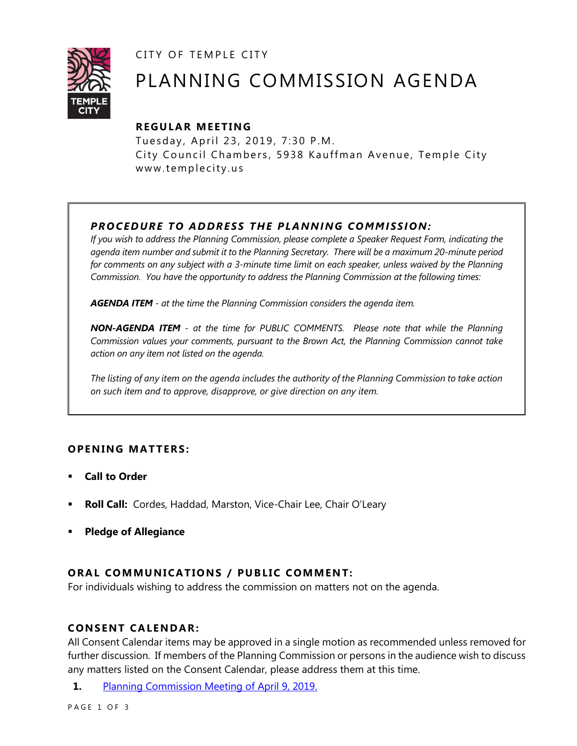CITY OF TEMPLE CITY



# PLANNING COMMISSION AGENDA

# **R EGULA R MEE TING**

Tuesday, April 23, 2019, 7:30 P.M. City Council Chambers, 5938 Kauffman Avenue, Temple City www.templecity.us

# *PRO CE DURE TO ADDRE SS THE P LA NNI NG COMM I SSION:*

*If you wish to address the Planning Commission, please complete a Speaker Request Form, indicating the agenda item number and submit it to the Planning Secretary. There will be a maximum 20-minute period*  for comments on any subject with a 3-minute time limit on each speaker, unless waived by the Planning *Commission. You have the opportunity to address the Planning Commission at the following times:*

*AGENDA ITEM - at the time the Planning Commission considers the agenda item.*

*NON-AGENDA ITEM - at the time for PUBLIC COMMENTS. Please note that while the Planning Commission values your comments, pursuant to the Brown Act, the Planning Commission cannot take action on any item not listed on the agenda.*

*The listing of any item on the agenda includes the authority of the Planning Commission to take action on such item and to approve, disapprove, or give direction on any item.*

# **OPENING MATTERS:**

- **Call to Order**
- **Roll Call:** Cordes, Haddad, Marston, Vice-Chair Lee, Chair O'Leary
- **Pledge of Allegiance**

# **ORAL COMMUNICATIONS / PUBLIC COMMENT:**

For individuals wishing to address the commission on matters not on the agenda.

#### **CONSENT CA LENDAR:**

All Consent Calendar items may be approved in a single motion as recommended unless removed for further discussion. If members of the Planning Commission or persons in the audience wish to discuss any matters listed on the Consent Calendar, please address them at this time.

**1.** [Planning Commission Meeting of April 9, 2019.](https://www.ci.temple-city.ca.us/DocumentCenter/View/12324/PCM-04-09-2019)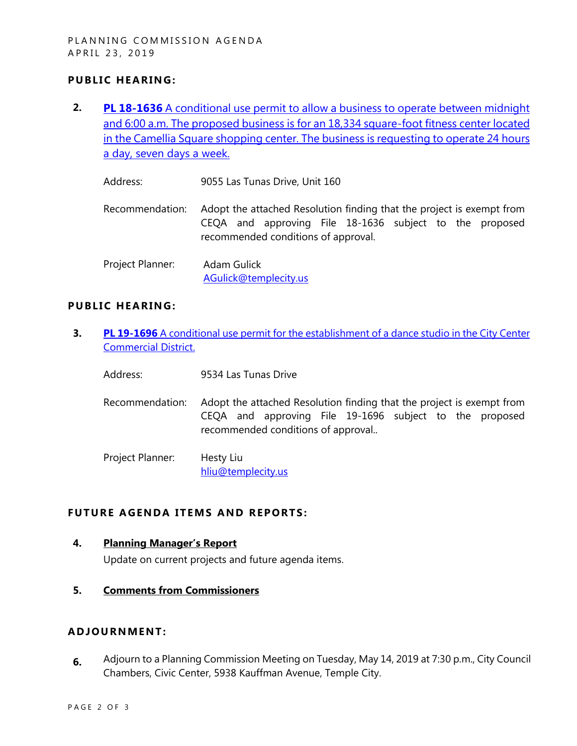# **PUBLIC HEARING:**

- **2. PL 18-1636** [A conditional use permit to allow a business to operate between midnight](https://www.ci.temple-city.ca.us/DocumentCenter/View/12332/PL-18-1636-9055-Las-Tunas-attachment-1) [and 6:00 a.m. The proposed business is for an 18,334 square-foot fitness center located](https://www.ci.temple-city.ca.us/DocumentCenter/View/12332/PL-18-1636-9055-Las-Tunas-attachment-1)  [in the Camellia Square shopping center. The business is requesting to operate 24 hours](https://www.ci.temple-city.ca.us/DocumentCenter/View/12332/PL-18-1636-9055-Las-Tunas-attachment-1)  [a day, seven days a week.](https://www.ci.temple-city.ca.us/DocumentCenter/View/12332/PL-18-1636-9055-Las-Tunas-attachment-1)
	- Address: 9055 Las Tunas Drive, Unit 160
	- Recommendation: Adopt the attached Resolution finding that the project is exempt from CEQA and approving File 18-1636 subject to the proposed recommended conditions of approval.
	- Project Planner: Adam Gulick [AGulick@templecity.us](mailto:AGulick@templecity.us)

#### **PUBLIC HEARING:**

- **3. PL 19-1696** [A conditional use permit for the establishment of a dance studio in the City Center](https://www.ci.temple-city.ca.us/DocumentCenter/View/12327/PL-19-1696-9534-Las-Tunas-attachment-2)  [Commercial District.](https://www.ci.temple-city.ca.us/DocumentCenter/View/12327/PL-19-1696-9534-Las-Tunas-attachment-2)
	- Address: 9534 Las Tunas Drive
	- Recommendation: Adopt the attached Resolution finding that the project is exempt from CEQA and approving File 19-1696 subject to the proposed recommended conditions of approval..
	- Project Planner: Hesty Liu [hliu@templecity.us](mailto:HLiu@templecity.us)

### **FUTURE AGENDA ITEMS AND REPORTS:**

#### **4. Planning Manager's Report**

Update on current projects and future agenda items.

**5. Comments from Commissioners**

#### **ADJOU RNMENT:**

**6.** Adjourn to a Planning Commission Meeting on Tuesday, May 14, 2019 at 7:30 p.m., City Council Chambers, Civic Center, 5938 Kauffman Avenue, Temple City.